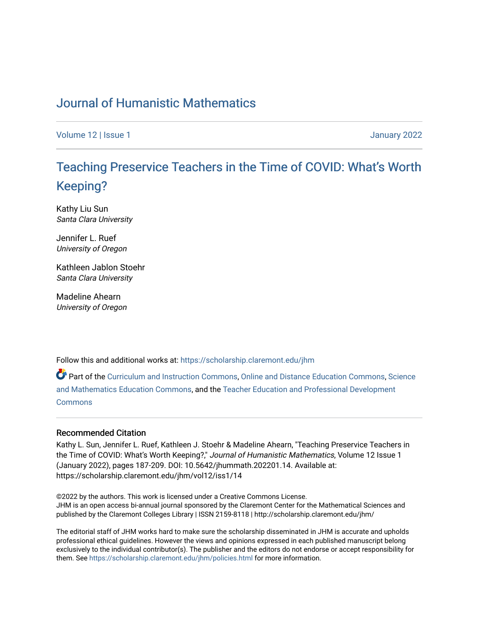## [Journal of Humanistic Mathematics](https://scholarship.claremont.edu/jhm)

[Volume 12](https://scholarship.claremont.edu/jhm/vol12) | [Issue 1 January 2022](https://scholarship.claremont.edu/jhm/vol12/iss1) 

# T[eaching Preservice Teachers in the Time of CO](https://scholarship.claremont.edu/jhm/vol12/iss1/14)VID: What's Worth [Keeping?](https://scholarship.claremont.edu/jhm/vol12/iss1/14)

Kathy Liu Sun Santa Clara University

Jennifer L. Ruef University of Oregon

Kathleen Jablon Stoehr Santa Clara University

Madeline Ahearn University of Oregon

Follow this and additional works at: [https://scholarship.claremont.edu/jhm](https://scholarship.claremont.edu/jhm?utm_source=scholarship.claremont.edu%2Fjhm%2Fvol12%2Fiss1%2F14&utm_medium=PDF&utm_campaign=PDFCoverPages)

Part of the [Curriculum and Instruction Commons,](http://network.bepress.com/hgg/discipline/786?utm_source=scholarship.claremont.edu%2Fjhm%2Fvol12%2Fiss1%2F14&utm_medium=PDF&utm_campaign=PDFCoverPages) [Online and Distance Education Commons](http://network.bepress.com/hgg/discipline/1296?utm_source=scholarship.claremont.edu%2Fjhm%2Fvol12%2Fiss1%2F14&utm_medium=PDF&utm_campaign=PDFCoverPages), [Science](http://network.bepress.com/hgg/discipline/800?utm_source=scholarship.claremont.edu%2Fjhm%2Fvol12%2Fiss1%2F14&utm_medium=PDF&utm_campaign=PDFCoverPages) [and Mathematics Education Commons](http://network.bepress.com/hgg/discipline/800?utm_source=scholarship.claremont.edu%2Fjhm%2Fvol12%2Fiss1%2F14&utm_medium=PDF&utm_campaign=PDFCoverPages), and the [Teacher Education and Professional Development](http://network.bepress.com/hgg/discipline/803?utm_source=scholarship.claremont.edu%2Fjhm%2Fvol12%2Fiss1%2F14&utm_medium=PDF&utm_campaign=PDFCoverPages)  [Commons](http://network.bepress.com/hgg/discipline/803?utm_source=scholarship.claremont.edu%2Fjhm%2Fvol12%2Fiss1%2F14&utm_medium=PDF&utm_campaign=PDFCoverPages)

#### Recommended Citation

Kathy L. Sun, Jennifer L. Ruef, Kathleen J. Stoehr & Madeline Ahearn, "Teaching Preservice Teachers in the Time of COVID: What's Worth Keeping?," Journal of Humanistic Mathematics, Volume 12 Issue 1 (January 2022), pages 187-209. DOI: 10.5642/jhummath.202201.14. Available at: https://scholarship.claremont.edu/jhm/vol12/iss1/14

©2022 by the authors. This work is licensed under a Creative Commons License. JHM is an open access bi-annual journal sponsored by the Claremont Center for the Mathematical Sciences and published by the Claremont Colleges Library | ISSN 2159-8118 | http://scholarship.claremont.edu/jhm/

The editorial staff of JHM works hard to make sure the scholarship disseminated in JHM is accurate and upholds professional ethical guidelines. However the views and opinions expressed in each published manuscript belong exclusively to the individual contributor(s). The publisher and the editors do not endorse or accept responsibility for them. See<https://scholarship.claremont.edu/jhm/policies.html> for more information.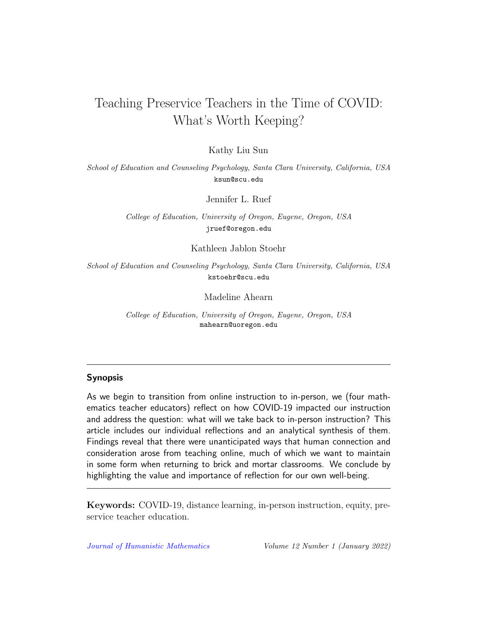## Teaching Preservice Teachers in the Time of COVID: What's Worth Keeping?

Kathy Liu Sun

School of Education and Counseling Psychology, Santa Clara University, California, USA ksun@scu.edu

Jennifer L. Ruef

College of Education, University of Oregon, Eugene, Oregon, USA jruef@oregon.edu

Kathleen Jablon Stoehr

School of Education and Counseling Psychology, Santa Clara University, California, USA kstoehr@scu.edu

Madeline Ahearn

College of Education, University of Oregon, Eugene, Oregon, USA mahearn@uoregon.edu

#### Synopsis

As we begin to transition from online instruction to in-person, we (four mathematics teacher educators) reflect on how COVID-19 impacted our instruction and address the question: what will we take back to in-person instruction? This article includes our individual reflections and an analytical synthesis of them. Findings reveal that there were unanticipated ways that human connection and consideration arose from teaching online, much of which we want to maintain in some form when returning to brick and mortar classrooms. We conclude by highlighting the value and importance of reflection for our own well-being.

Keywords: COVID-19, distance learning, in-person instruction, equity, preservice teacher education.

[Journal of Humanistic Mathematics](http://scholarship.claremont.edu/jhm/) Volume 12 Number 1 (January 2022)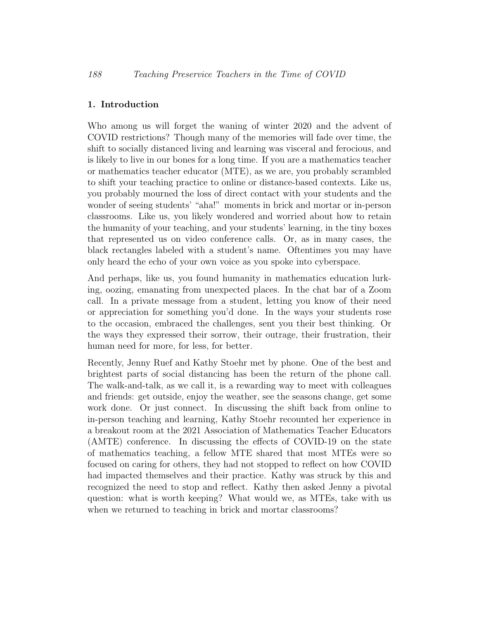## 1. Introduction

Who among us will forget the waning of winter 2020 and the advent of COVID restrictions? Though many of the memories will fade over time, the shift to socially distanced living and learning was visceral and ferocious, and is likely to live in our bones for a long time. If you are a mathematics teacher or mathematics teacher educator (MTE), as we are, you probably scrambled to shift your teaching practice to online or distance-based contexts. Like us, you probably mourned the loss of direct contact with your students and the wonder of seeing students' "aha!" moments in brick and mortar or in-person classrooms. Like us, you likely wondered and worried about how to retain the humanity of your teaching, and your students' learning, in the tiny boxes that represented us on video conference calls. Or, as in many cases, the black rectangles labeled with a student's name. Oftentimes you may have only heard the echo of your own voice as you spoke into cyberspace.

And perhaps, like us, you found humanity in mathematics education lurking, oozing, emanating from unexpected places. In the chat bar of a Zoom call. In a private message from a student, letting you know of their need or appreciation for something you'd done. In the ways your students rose to the occasion, embraced the challenges, sent you their best thinking. Or the ways they expressed their sorrow, their outrage, their frustration, their human need for more, for less, for better.

Recently, Jenny Ruef and Kathy Stoehr met by phone. One of the best and brightest parts of social distancing has been the return of the phone call. The walk-and-talk, as we call it, is a rewarding way to meet with colleagues and friends: get outside, enjoy the weather, see the seasons change, get some work done. Or just connect. In discussing the shift back from online to in-person teaching and learning, Kathy Stoehr recounted her experience in a breakout room at the 2021 Association of Mathematics Teacher Educators (AMTE) conference. In discussing the effects of COVID-19 on the state of mathematics teaching, a fellow MTE shared that most MTEs were so focused on caring for others, they had not stopped to reflect on how COVID had impacted themselves and their practice. Kathy was struck by this and recognized the need to stop and reflect. Kathy then asked Jenny a pivotal question: what is worth keeping? What would we, as MTEs, take with us when we returned to teaching in brick and mortar classrooms?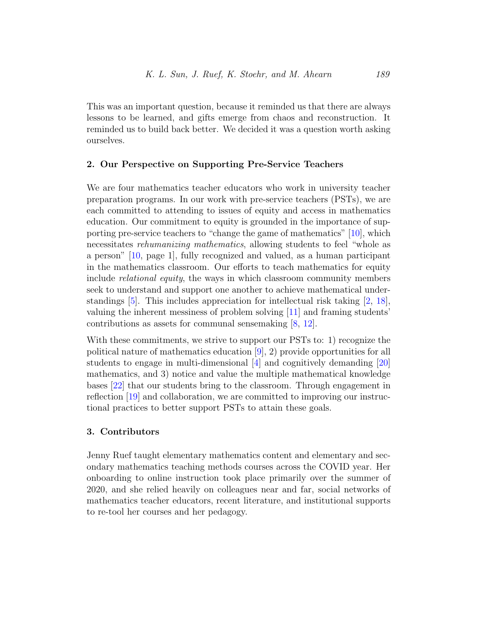This was an important question, because it reminded us that there are always lessons to be learned, and gifts emerge from chaos and reconstruction. It reminded us to build back better. We decided it was a question worth asking ourselves.

### 2. Our Perspective on Supporting Pre-Service Teachers

We are four mathematics teacher educators who work in university teacher preparation programs. In our work with pre-service teachers (PSTs), we are each committed to attending to issues of equity and access in mathematics education. Our commitment to equity is grounded in the importance of supporting pre-service teachers to "change the game of mathematics" [\[10\]](#page-22-0), which necessitates rehumanizing mathematics, allowing students to feel "whole as a person" [\[10,](#page-22-0) page 1], fully recognized and valued, as a human participant in the mathematics classroom. Our efforts to teach mathematics for equity include relational equity, the ways in which classroom community members seek to understand and support one another to achieve mathematical under-standings [\[5\]](#page-21-0). This includes appreciation for intellectual risk taking  $[2, 18]$  $[2, 18]$  $[2, 18]$ , valuing the inherent messiness of problem solving [\[11\]](#page-22-1) and framing students' contributions as assets for communal sensemaking [\[8,](#page-22-2) [12\]](#page-22-3).

With these commitments, we strive to support our PSTs to: 1) recognize the political nature of mathematics education [\[9\]](#page-22-4), 2) provide opportunities for all students to engage in multi-dimensional [\[4\]](#page-21-2) and cognitively demanding [\[20\]](#page-23-1) mathematics, and 3) notice and value the multiple mathematical knowledge bases [\[22\]](#page-23-2) that our students bring to the classroom. Through engagement in reflection [\[19\]](#page-23-3) and collaboration, we are committed to improving our instructional practices to better support PSTs to attain these goals.

### 3. Contributors

Jenny Ruef taught elementary mathematics content and elementary and secondary mathematics teaching methods courses across the COVID year. Her onboarding to online instruction took place primarily over the summer of 2020, and she relied heavily on colleagues near and far, social networks of mathematics teacher educators, recent literature, and institutional supports to re-tool her courses and her pedagogy.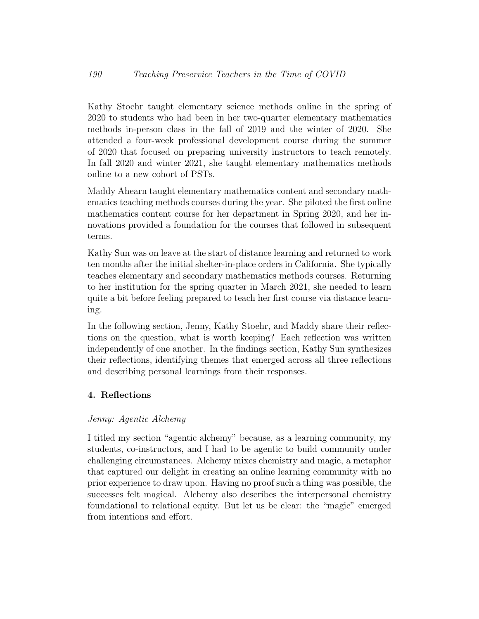Kathy Stoehr taught elementary science methods online in the spring of 2020 to students who had been in her two-quarter elementary mathematics methods in-person class in the fall of 2019 and the winter of 2020. She attended a four-week professional development course during the summer of 2020 that focused on preparing university instructors to teach remotely. In fall 2020 and winter 2021, she taught elementary mathematics methods online to a new cohort of PSTs.

Maddy Ahearn taught elementary mathematics content and secondary mathematics teaching methods courses during the year. She piloted the first online mathematics content course for her department in Spring 2020, and her innovations provided a foundation for the courses that followed in subsequent terms.

Kathy Sun was on leave at the start of distance learning and returned to work ten months after the initial shelter-in-place orders in California. She typically teaches elementary and secondary mathematics methods courses. Returning to her institution for the spring quarter in March 2021, she needed to learn quite a bit before feeling prepared to teach her first course via distance learning.

In the following section, Jenny, Kathy Stoehr, and Maddy share their reflections on the question, what is worth keeping? Each reflection was written independently of one another. In the findings section, Kathy Sun synthesizes their reflections, identifying themes that emerged across all three reflections and describing personal learnings from their responses.

## 4. Reflections

## Jenny: Agentic Alchemy

I titled my section "agentic alchemy" because, as a learning community, my students, co-instructors, and I had to be agentic to build community under challenging circumstances. Alchemy mixes chemistry and magic, a metaphor that captured our delight in creating an online learning community with no prior experience to draw upon. Having no proof such a thing was possible, the successes felt magical. Alchemy also describes the interpersonal chemistry foundational to relational equity. But let us be clear: the "magic" emerged from intentions and effort.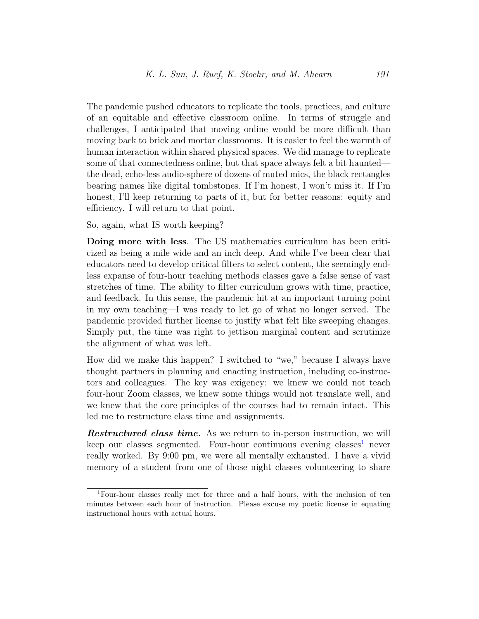The pandemic pushed educators to replicate the tools, practices, and culture of an equitable and effective classroom online. In terms of struggle and challenges, I anticipated that moving online would be more difficult than moving back to brick and mortar classrooms. It is easier to feel the warmth of human interaction within shared physical spaces. We did manage to replicate some of that connectedness online, but that space always felt a bit haunted the dead, echo-less audio-sphere of dozens of muted mics, the black rectangles bearing names like digital tombstones. If I'm honest, I won't miss it. If I'm honest, I'll keep returning to parts of it, but for better reasons: equity and efficiency. I will return to that point.

So, again, what IS worth keeping?

Doing more with less. The US mathematics curriculum has been criticized as being a mile wide and an inch deep. And while I've been clear that educators need to develop critical filters to select content, the seemingly endless expanse of four-hour teaching methods classes gave a false sense of vast stretches of time. The ability to filter curriculum grows with time, practice, and feedback. In this sense, the pandemic hit at an important turning point in my own teaching—I was ready to let go of what no longer served. The pandemic provided further license to justify what felt like sweeping changes. Simply put, the time was right to jettison marginal content and scrutinize the alignment of what was left.

How did we make this happen? I switched to "we," because I always have thought partners in planning and enacting instruction, including co-instructors and colleagues. The key was exigency: we knew we could not teach four-hour Zoom classes, we knew some things would not translate well, and we knew that the core principles of the courses had to remain intact. This led me to restructure class time and assignments.

**Restructured class time.** As we return to in-person instruction, we will keep our classes segmented. Four-hour continuous evening classes<sup>[1](#page-5-0)</sup> never really worked. By 9:00 pm, we were all mentally exhausted. I have a vivid memory of a student from one of those night classes volunteering to share

<span id="page-5-0"></span><sup>1</sup>Four-hour classes really met for three and a half hours, with the inclusion of ten minutes between each hour of instruction. Please excuse my poetic license in equating instructional hours with actual hours.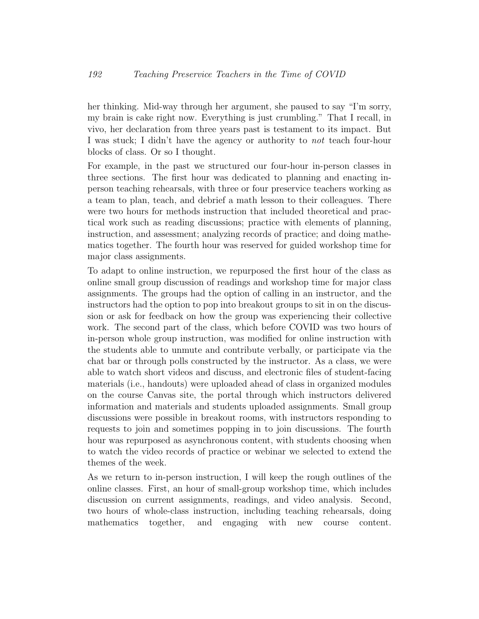her thinking. Mid-way through her argument, she paused to say "I'm sorry, my brain is cake right now. Everything is just crumbling." That I recall, in vivo, her declaration from three years past is testament to its impact. But I was stuck; I didn't have the agency or authority to *not* teach four-hour blocks of class. Or so I thought.

For example, in the past we structured our four-hour in-person classes in three sections. The first hour was dedicated to planning and enacting inperson teaching rehearsals, with three or four preservice teachers working as a team to plan, teach, and debrief a math lesson to their colleagues. There were two hours for methods instruction that included theoretical and practical work such as reading discussions; practice with elements of planning, instruction, and assessment; analyzing records of practice; and doing mathematics together. The fourth hour was reserved for guided workshop time for major class assignments.

To adapt to online instruction, we repurposed the first hour of the class as online small group discussion of readings and workshop time for major class assignments. The groups had the option of calling in an instructor, and the instructors had the option to pop into breakout groups to sit in on the discussion or ask for feedback on how the group was experiencing their collective work. The second part of the class, which before COVID was two hours of in-person whole group instruction, was modified for online instruction with the students able to unmute and contribute verbally, or participate via the chat bar or through polls constructed by the instructor. As a class, we were able to watch short videos and discuss, and electronic files of student-facing materials (i.e., handouts) were uploaded ahead of class in organized modules on the course Canvas site, the portal through which instructors delivered information and materials and students uploaded assignments. Small group discussions were possible in breakout rooms, with instructors responding to requests to join and sometimes popping in to join discussions. The fourth hour was repurposed as asynchronous content, with students choosing when to watch the video records of practice or webinar we selected to extend the themes of the week.

As we return to in-person instruction, I will keep the rough outlines of the online classes. First, an hour of small-group workshop time, which includes discussion on current assignments, readings, and video analysis. Second, two hours of whole-class instruction, including teaching rehearsals, doing mathematics together, and engaging with new course content.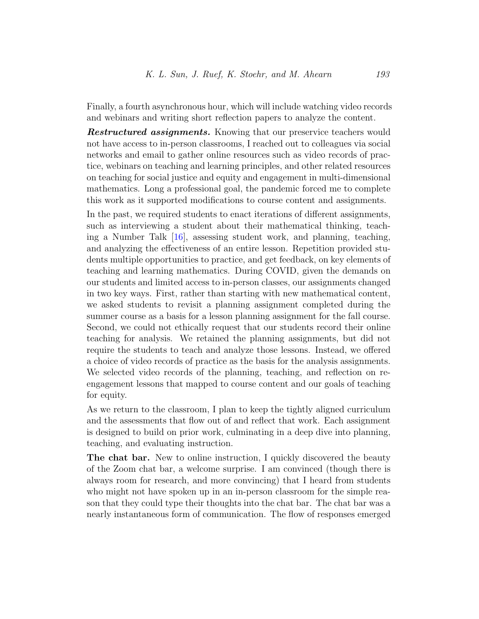Finally, a fourth asynchronous hour, which will include watching video records and webinars and writing short reflection papers to analyze the content.

**Restructured assignments.** Knowing that our preservice teachers would not have access to in-person classrooms, I reached out to colleagues via social networks and email to gather online resources such as video records of practice, webinars on teaching and learning principles, and other related resources on teaching for social justice and equity and engagement in multi-dimensional mathematics. Long a professional goal, the pandemic forced me to complete this work as it supported modifications to course content and assignments.

In the past, we required students to enact iterations of different assignments, such as interviewing a student about their mathematical thinking, teaching a Number Talk [\[16\]](#page-22-5), assessing student work, and planning, teaching, and analyzing the effectiveness of an entire lesson. Repetition provided students multiple opportunities to practice, and get feedback, on key elements of teaching and learning mathematics. During COVID, given the demands on our students and limited access to in-person classes, our assignments changed in two key ways. First, rather than starting with new mathematical content, we asked students to revisit a planning assignment completed during the summer course as a basis for a lesson planning assignment for the fall course. Second, we could not ethically request that our students record their online teaching for analysis. We retained the planning assignments, but did not require the students to teach and analyze those lessons. Instead, we offered a choice of video records of practice as the basis for the analysis assignments. We selected video records of the planning, teaching, and reflection on reengagement lessons that mapped to course content and our goals of teaching for equity.

As we return to the classroom, I plan to keep the tightly aligned curriculum and the assessments that flow out of and reflect that work. Each assignment is designed to build on prior work, culminating in a deep dive into planning, teaching, and evaluating instruction.

The chat bar. New to online instruction, I quickly discovered the beauty of the Zoom chat bar, a welcome surprise. I am convinced (though there is always room for research, and more convincing) that I heard from students who might not have spoken up in an in-person classroom for the simple reason that they could type their thoughts into the chat bar. The chat bar was a nearly instantaneous form of communication. The flow of responses emerged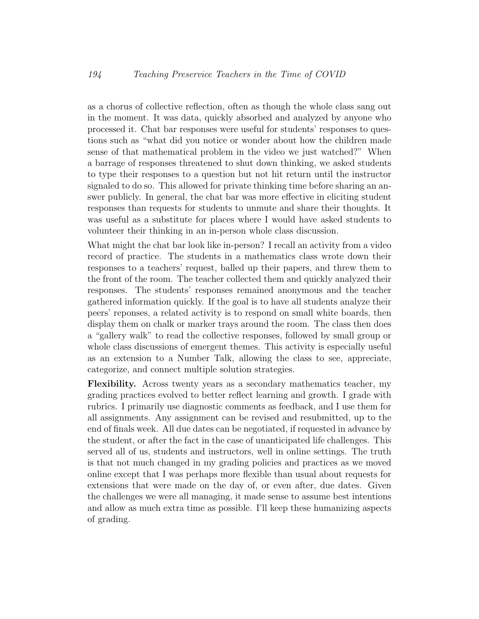as a chorus of collective reflection, often as though the whole class sang out in the moment. It was data, quickly absorbed and analyzed by anyone who processed it. Chat bar responses were useful for students' responses to questions such as "what did you notice or wonder about how the children made sense of that mathematical problem in the video we just watched?" When a barrage of responses threatened to shut down thinking, we asked students to type their responses to a question but not hit return until the instructor signaled to do so. This allowed for private thinking time before sharing an answer publicly. In general, the chat bar was more effective in eliciting student responses than requests for students to unmute and share their thoughts. It was useful as a substitute for places where I would have asked students to volunteer their thinking in an in-person whole class discussion.

What might the chat bar look like in-person? I recall an activity from a video record of practice. The students in a mathematics class wrote down their responses to a teachers' request, balled up their papers, and threw them to the front of the room. The teacher collected them and quickly analyzed their responses. The students' responses remained anonymous and the teacher gathered information quickly. If the goal is to have all students analyze their peers' reponses, a related activity is to respond on small white boards, then display them on chalk or marker trays around the room. The class then does a "gallery walk" to read the collective responses, followed by small group or whole class discussions of emergent themes. This activity is especially useful as an extension to a Number Talk, allowing the class to see, appreciate, categorize, and connect multiple solution strategies.

Flexibility. Across twenty years as a secondary mathematics teacher, my grading practices evolved to better reflect learning and growth. I grade with rubrics. I primarily use diagnostic comments as feedback, and I use them for all assignments. Any assignment can be revised and resubmitted, up to the end of finals week. All due dates can be negotiated, if requested in advance by the student, or after the fact in the case of unanticipated life challenges. This served all of us, students and instructors, well in online settings. The truth is that not much changed in my grading policies and practices as we moved online except that I was perhaps more flexible than usual about requests for extensions that were made on the day of, or even after, due dates. Given the challenges we were all managing, it made sense to assume best intentions and allow as much extra time as possible. I'll keep these humanizing aspects of grading.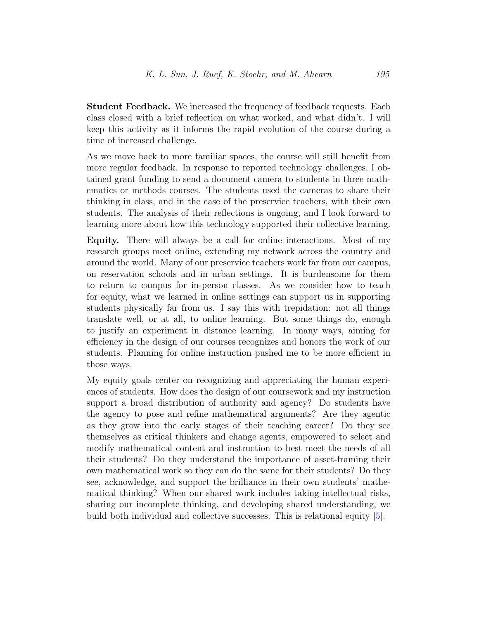Student Feedback. We increased the frequency of feedback requests. Each class closed with a brief reflection on what worked, and what didn't. I will keep this activity as it informs the rapid evolution of the course during a time of increased challenge.

As we move back to more familiar spaces, the course will still benefit from more regular feedback. In response to reported technology challenges, I obtained grant funding to send a document camera to students in three mathematics or methods courses. The students used the cameras to share their thinking in class, and in the case of the preservice teachers, with their own students. The analysis of their reflections is ongoing, and I look forward to learning more about how this technology supported their collective learning.

Equity. There will always be a call for online interactions. Most of my research groups meet online, extending my network across the country and around the world. Many of our preservice teachers work far from our campus, on reservation schools and in urban settings. It is burdensome for them to return to campus for in-person classes. As we consider how to teach for equity, what we learned in online settings can support us in supporting students physically far from us. I say this with trepidation: not all things translate well, or at all, to online learning. But some things do, enough to justify an experiment in distance learning. In many ways, aiming for efficiency in the design of our courses recognizes and honors the work of our students. Planning for online instruction pushed me to be more efficient in those ways.

My equity goals center on recognizing and appreciating the human experiences of students. How does the design of our coursework and my instruction support a broad distribution of authority and agency? Do students have the agency to pose and refine mathematical arguments? Are they agentic as they grow into the early stages of their teaching career? Do they see themselves as critical thinkers and change agents, empowered to select and modify mathematical content and instruction to best meet the needs of all their students? Do they understand the importance of asset-framing their own mathematical work so they can do the same for their students? Do they see, acknowledge, and support the brilliance in their own students' mathematical thinking? When our shared work includes taking intellectual risks, sharing our incomplete thinking, and developing shared understanding, we build both individual and collective successes. This is relational equity [\[5\]](#page-21-0).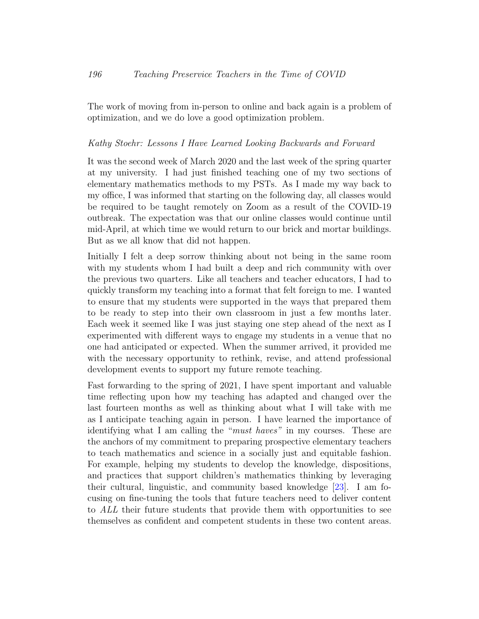The work of moving from in-person to online and back again is a problem of optimization, and we do love a good optimization problem.

### Kathy Stoehr: Lessons I Have Learned Looking Backwards and Forward

It was the second week of March 2020 and the last week of the spring quarter at my university. I had just finished teaching one of my two sections of elementary mathematics methods to my PSTs. As I made my way back to my office, I was informed that starting on the following day, all classes would be required to be taught remotely on Zoom as a result of the COVID-19 outbreak. The expectation was that our online classes would continue until mid-April, at which time we would return to our brick and mortar buildings. But as we all know that did not happen.

Initially I felt a deep sorrow thinking about not being in the same room with my students whom I had built a deep and rich community with over the previous two quarters. Like all teachers and teacher educators, I had to quickly transform my teaching into a format that felt foreign to me. I wanted to ensure that my students were supported in the ways that prepared them to be ready to step into their own classroom in just a few months later. Each week it seemed like I was just staying one step ahead of the next as I experimented with different ways to engage my students in a venue that no one had anticipated or expected. When the summer arrived, it provided me with the necessary opportunity to rethink, revise, and attend professional development events to support my future remote teaching.

Fast forwarding to the spring of 2021, I have spent important and valuable time reflecting upon how my teaching has adapted and changed over the last fourteen months as well as thinking about what I will take with me as I anticipate teaching again in person. I have learned the importance of identifying what I am calling the "*must haves*" in my courses. These are the anchors of my commitment to preparing prospective elementary teachers to teach mathematics and science in a socially just and equitable fashion. For example, helping my students to develop the knowledge, dispositions, and practices that support children's mathematics thinking by leveraging their cultural, linguistic, and community based knowledge [\[23\]](#page-23-4). I am focusing on fine-tuning the tools that future teachers need to deliver content to ALL their future students that provide them with opportunities to see themselves as confident and competent students in these two content areas.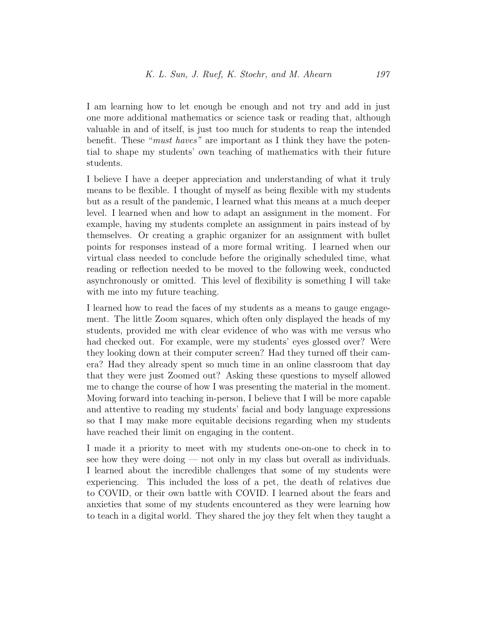I am learning how to let enough be enough and not try and add in just one more additional mathematics or science task or reading that, although valuable in and of itself, is just too much for students to reap the intended benefit. These "must haves" are important as I think they have the potential to shape my students' own teaching of mathematics with their future students.

I believe I have a deeper appreciation and understanding of what it truly means to be flexible. I thought of myself as being flexible with my students but as a result of the pandemic, I learned what this means at a much deeper level. I learned when and how to adapt an assignment in the moment. For example, having my students complete an assignment in pairs instead of by themselves. Or creating a graphic organizer for an assignment with bullet points for responses instead of a more formal writing. I learned when our virtual class needed to conclude before the originally scheduled time, what reading or reflection needed to be moved to the following week, conducted asynchronously or omitted. This level of flexibility is something I will take with me into my future teaching.

I learned how to read the faces of my students as a means to gauge engagement. The little Zoom squares, which often only displayed the heads of my students, provided me with clear evidence of who was with me versus who had checked out. For example, were my students' eyes glossed over? Were they looking down at their computer screen? Had they turned off their camera? Had they already spent so much time in an online classroom that day that they were just Zoomed out? Asking these questions to myself allowed me to change the course of how I was presenting the material in the moment. Moving forward into teaching in-person, I believe that I will be more capable and attentive to reading my students' facial and body language expressions so that I may make more equitable decisions regarding when my students have reached their limit on engaging in the content.

I made it a priority to meet with my students one-on-one to check in to see how they were doing — not only in my class but overall as individuals. I learned about the incredible challenges that some of my students were experiencing. This included the loss of a pet, the death of relatives due to COVID, or their own battle with COVID. I learned about the fears and anxieties that some of my students encountered as they were learning how to teach in a digital world. They shared the joy they felt when they taught a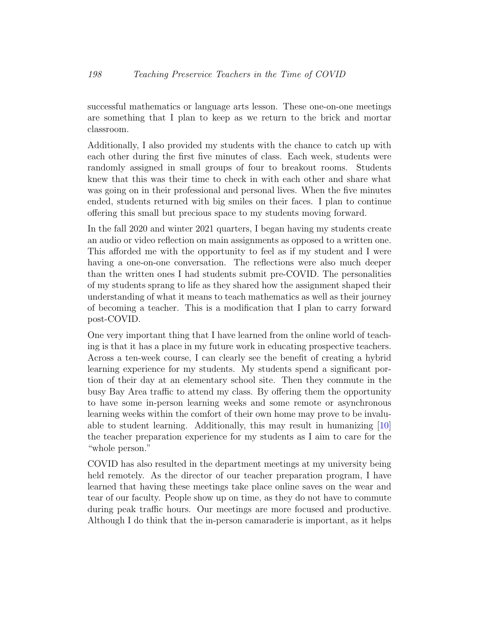successful mathematics or language arts lesson. These one-on-one meetings are something that I plan to keep as we return to the brick and mortar classroom.

Additionally, I also provided my students with the chance to catch up with each other during the first five minutes of class. Each week, students were randomly assigned in small groups of four to breakout rooms. Students knew that this was their time to check in with each other and share what was going on in their professional and personal lives. When the five minutes ended, students returned with big smiles on their faces. I plan to continue offering this small but precious space to my students moving forward.

In the fall 2020 and winter 2021 quarters, I began having my students create an audio or video reflection on main assignments as opposed to a written one. This afforded me with the opportunity to feel as if my student and I were having a one-on-one conversation. The reflections were also much deeper than the written ones I had students submit pre-COVID. The personalities of my students sprang to life as they shared how the assignment shaped their understanding of what it means to teach mathematics as well as their journey of becoming a teacher. This is a modification that I plan to carry forward post-COVID.

One very important thing that I have learned from the online world of teaching is that it has a place in my future work in educating prospective teachers. Across a ten-week course, I can clearly see the benefit of creating a hybrid learning experience for my students. My students spend a significant portion of their day at an elementary school site. Then they commute in the busy Bay Area traffic to attend my class. By offering them the opportunity to have some in-person learning weeks and some remote or asynchronous learning weeks within the comfort of their own home may prove to be invaluable to student learning. Additionally, this may result in humanizing [\[10\]](#page-22-0) the teacher preparation experience for my students as I aim to care for the "whole person."

COVID has also resulted in the department meetings at my university being held remotely. As the director of our teacher preparation program, I have learned that having these meetings take place online saves on the wear and tear of our faculty. People show up on time, as they do not have to commute during peak traffic hours. Our meetings are more focused and productive. Although I do think that the in-person camaraderie is important, as it helps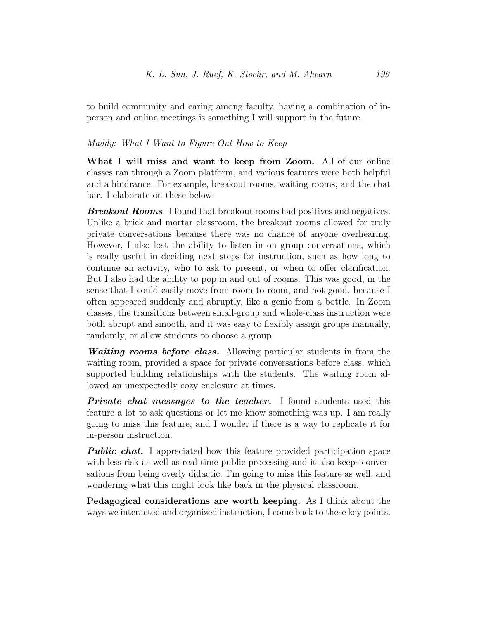to build community and caring among faculty, having a combination of inperson and online meetings is something I will support in the future.

## Maddy: What I Want to Figure Out How to Keep

What I will miss and want to keep from Zoom. All of our online classes ran through a Zoom platform, and various features were both helpful and a hindrance. For example, breakout rooms, waiting rooms, and the chat bar. I elaborate on these below:

**Breakout Rooms**. I found that breakout rooms had positives and negatives. Unlike a brick and mortar classroom, the breakout rooms allowed for truly private conversations because there was no chance of anyone overhearing. However, I also lost the ability to listen in on group conversations, which is really useful in deciding next steps for instruction, such as how long to continue an activity, who to ask to present, or when to offer clarification. But I also had the ability to pop in and out of rooms. This was good, in the sense that I could easily move from room to room, and not good, because I often appeared suddenly and abruptly, like a genie from a bottle. In Zoom classes, the transitions between small-group and whole-class instruction were both abrupt and smooth, and it was easy to flexibly assign groups manually, randomly, or allow students to choose a group.

Waiting rooms before class. Allowing particular students in from the waiting room, provided a space for private conversations before class, which supported building relationships with the students. The waiting room allowed an unexpectedly cozy enclosure at times.

**Private chat messages to the teacher.** I found students used this feature a lot to ask questions or let me know something was up. I am really going to miss this feature, and I wonder if there is a way to replicate it for in-person instruction.

**Public chat.** I appreciated how this feature provided participation space with less risk as well as real-time public processing and it also keeps conversations from being overly didactic. I'm going to miss this feature as well, and wondering what this might look like back in the physical classroom.

Pedagogical considerations are worth keeping. As I think about the ways we interacted and organized instruction, I come back to these key points.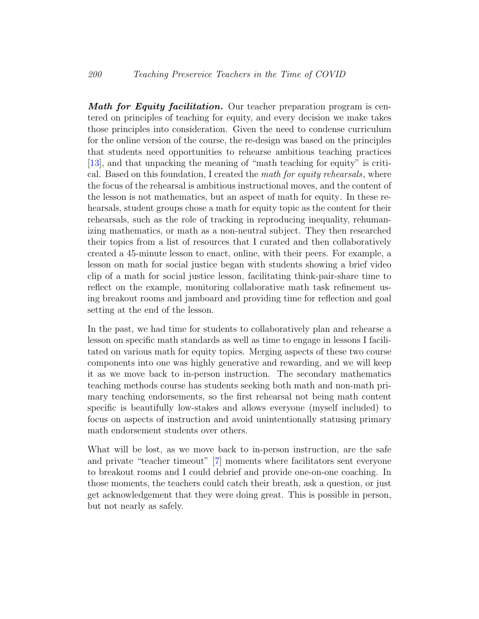**Math for Equity facilitation.** Our teacher preparation program is centered on principles of teaching for equity, and every decision we make takes those principles into consideration. Given the need to condense curriculum for the online version of the course, the re-design was based on the principles that students need opportunities to rehearse ambitious teaching practices [\[13\]](#page-22-6), and that unpacking the meaning of "math teaching for equity" is critical. Based on this foundation, I created the math for equity rehearsals, where the focus of the rehearsal is ambitious instructional moves, and the content of the lesson is not mathematics, but an aspect of math for equity. In these rehearsals, student groups chose a math for equity topic as the content for their rehearsals, such as the role of tracking in reproducing inequality, rehumanizing mathematics, or math as a non-neutral subject. They then researched their topics from a list of resources that I curated and then collaboratively created a 45-minute lesson to enact, online, with their peers. For example, a lesson on math for social justice began with students showing a brief video clip of a math for social justice lesson, facilitating think-pair-share time to reflect on the example, monitoring collaborative math task refinement using breakout rooms and jamboard and providing time for reflection and goal setting at the end of the lesson.

In the past, we had time for students to collaboratively plan and rehearse a lesson on specific math standards as well as time to engage in lessons I facilitated on various math for equity topics. Merging aspects of these two course components into one was highly generative and rewarding, and we will keep it as we move back to in-person instruction. The secondary mathematics teaching methods course has students seeking both math and non-math primary teaching endorsements, so the first rehearsal not being math content specific is beautifully low-stakes and allows everyone (myself included) to focus on aspects of instruction and avoid unintentionally statusing primary math endorsement students over others.

What will be lost, as we move back to in-person instruction, are the safe and private "teacher timeout" [\[7\]](#page-22-7) moments where facilitators sent everyone to breakout rooms and I could debrief and provide one-on-one coaching. In those moments, the teachers could catch their breath, ask a question, or just get acknowledgement that they were doing great. This is possible in person, but not nearly as safely.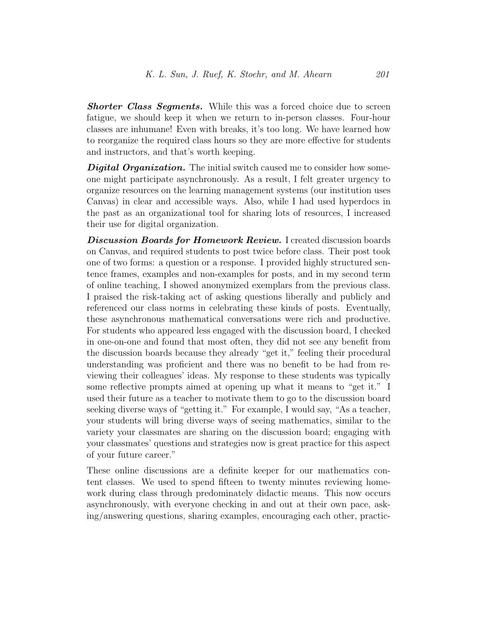**Shorter Class Segments.** While this was a forced choice due to screen fatigue, we should keep it when we return to in-person classes. Four-hour classes are inhumane! Even with breaks, it's too long. We have learned how to reorganize the required class hours so they are more effective for students and instructors, and that's worth keeping.

Digital Organization. The initial switch caused me to consider how someone might participate asynchronously. As a result, I felt greater urgency to organize resources on the learning management systems (our institution uses Canvas) in clear and accessible ways. Also, while I had used hyperdocs in the past as an organizational tool for sharing lots of resources, I increased their use for digital organization.

Discussion Boards for Homework Review. I created discussion boards on Canvas, and required students to post twice before class. Their post took one of two forms: a question or a response. I provided highly structured sentence frames, examples and non-examples for posts, and in my second term of online teaching, I showed anonymized exemplars from the previous class. I praised the risk-taking act of asking questions liberally and publicly and referenced our class norms in celebrating these kinds of posts. Eventually, these asynchronous mathematical conversations were rich and productive. For students who appeared less engaged with the discussion board, I checked in one-on-one and found that most often, they did not see any benefit from the discussion boards because they already "get it," feeling their procedural understanding was proficient and there was no benefit to be had from reviewing their colleagues' ideas. My response to these students was typically some reflective prompts aimed at opening up what it means to "get it." I used their future as a teacher to motivate them to go to the discussion board seeking diverse ways of "getting it." For example, I would say, "As a teacher, your students will bring diverse ways of seeing mathematics, similar to the variety your classmates are sharing on the discussion board; engaging with your classmates' questions and strategies now is great practice for this aspect of your future career."

These online discussions are a definite keeper for our mathematics content classes. We used to spend fifteen to twenty minutes reviewing homework during class through predominately didactic means. This now occurs asynchronously, with everyone checking in and out at their own pace, asking/answering questions, sharing examples, encouraging each other, practic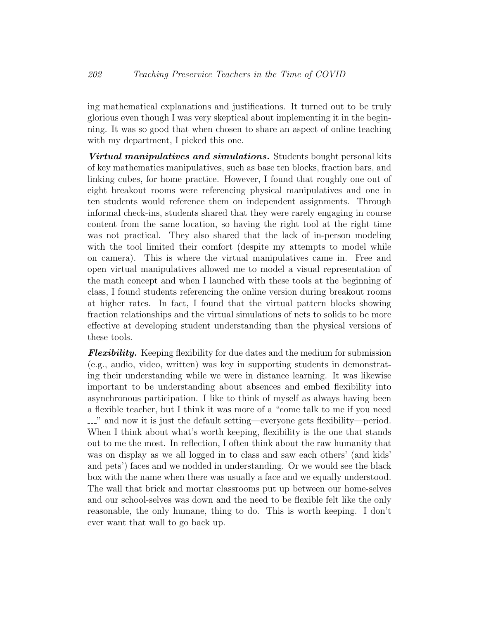ing mathematical explanations and justifications. It turned out to be truly glorious even though I was very skeptical about implementing it in the beginning. It was so good that when chosen to share an aspect of online teaching with my department, I picked this one.

**Virtual manipulatives and simulations.** Students bought personal kits of key mathematics manipulatives, such as base ten blocks, fraction bars, and linking cubes, for home practice. However, I found that roughly one out of eight breakout rooms were referencing physical manipulatives and one in ten students would reference them on independent assignments. Through informal check-ins, students shared that they were rarely engaging in course content from the same location, so having the right tool at the right time was not practical. They also shared that the lack of in-person modeling with the tool limited their comfort (despite my attempts to model while on camera). This is where the virtual manipulatives came in. Free and open virtual manipulatives allowed me to model a visual representation of the math concept and when I launched with these tools at the beginning of class, I found students referencing the online version during breakout rooms at higher rates. In fact, I found that the virtual pattern blocks showing fraction relationships and the virtual simulations of nets to solids to be more effective at developing student understanding than the physical versions of these tools.

**Flexibility.** Keeping flexibility for due dates and the medium for submission (e.g., audio, video, written) was key in supporting students in demonstrating their understanding while we were in distance learning. It was likewise important to be understanding about absences and embed flexibility into asynchronous participation. I like to think of myself as always having been a flexible teacher, but I think it was more of a "come talk to me if you need ..." and now it is just the default setting—everyone gets flexibility—period. When I think about what's worth keeping, flexibility is the one that stands out to me the most. In reflection, I often think about the raw humanity that was on display as we all logged in to class and saw each others' (and kids' and pets') faces and we nodded in understanding. Or we would see the black box with the name when there was usually a face and we equally understood. The wall that brick and mortar classrooms put up between our home-selves and our school-selves was down and the need to be flexible felt like the only reasonable, the only humane, thing to do. This is worth keeping. I don't ever want that wall to go back up.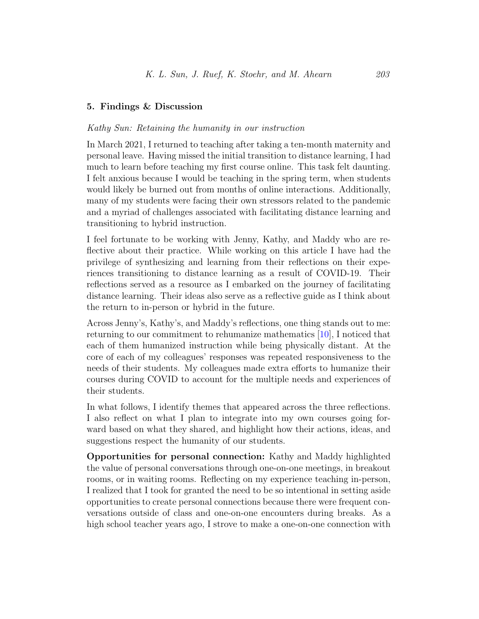## 5. Findings & Discussion

## Kathy Sun: Retaining the humanity in our instruction

In March 2021, I returned to teaching after taking a ten-month maternity and personal leave. Having missed the initial transition to distance learning, I had much to learn before teaching my first course online. This task felt daunting. I felt anxious because I would be teaching in the spring term, when students would likely be burned out from months of online interactions. Additionally, many of my students were facing their own stressors related to the pandemic and a myriad of challenges associated with facilitating distance learning and transitioning to hybrid instruction.

I feel fortunate to be working with Jenny, Kathy, and Maddy who are reflective about their practice. While working on this article I have had the privilege of synthesizing and learning from their reflections on their experiences transitioning to distance learning as a result of COVID-19. Their reflections served as a resource as I embarked on the journey of facilitating distance learning. Their ideas also serve as a reflective guide as I think about the return to in-person or hybrid in the future.

Across Jenny's, Kathy's, and Maddy's reflections, one thing stands out to me: returning to our commitment to rehumanize mathematics [\[10\]](#page-22-0), I noticed that each of them humanized instruction while being physically distant. At the core of each of my colleagues' responses was repeated responsiveness to the needs of their students. My colleagues made extra efforts to humanize their courses during COVID to account for the multiple needs and experiences of their students.

In what follows, I identify themes that appeared across the three reflections. I also reflect on what I plan to integrate into my own courses going forward based on what they shared, and highlight how their actions, ideas, and suggestions respect the humanity of our students.

Opportunities for personal connection: Kathy and Maddy highlighted the value of personal conversations through one-on-one meetings, in breakout rooms, or in waiting rooms. Reflecting on my experience teaching in-person, I realized that I took for granted the need to be so intentional in setting aside opportunities to create personal connections because there were frequent conversations outside of class and one-on-one encounters during breaks. As a high school teacher years ago, I strove to make a one-on-one connection with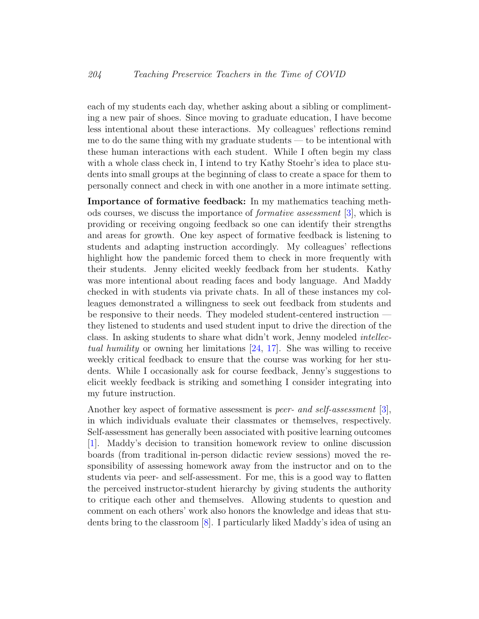each of my students each day, whether asking about a sibling or complimenting a new pair of shoes. Since moving to graduate education, I have become less intentional about these interactions. My colleagues' reflections remind me to do the same thing with my graduate students — to be intentional with these human interactions with each student. While I often begin my class with a whole class check in, I intend to try Kathy Stoehr's idea to place students into small groups at the beginning of class to create a space for them to personally connect and check in with one another in a more intimate setting.

Importance of formative feedback: In my mathematics teaching methods courses, we discuss the importance of formative assessment [\[3\]](#page-21-3), which is providing or receiving ongoing feedback so one can identify their strengths and areas for growth. One key aspect of formative feedback is listening to students and adapting instruction accordingly. My colleagues' reflections highlight how the pandemic forced them to check in more frequently with their students. Jenny elicited weekly feedback from her students. Kathy was more intentional about reading faces and body language. And Maddy checked in with students via private chats. In all of these instances my colleagues demonstrated a willingness to seek out feedback from students and be responsive to their needs. They modeled student-centered instruction they listened to students and used student input to drive the direction of the class. In asking students to share what didn't work, Jenny modeled intellectual humility or owning her limitations [\[24,](#page-23-5) [17\]](#page-23-6). She was willing to receive weekly critical feedback to ensure that the course was working for her students. While I occasionally ask for course feedback, Jenny's suggestions to elicit weekly feedback is striking and something I consider integrating into my future instruction.

Another key aspect of formative assessment is *peer- and self-assessment* [\[3\]](#page-21-3), in which individuals evaluate their classmates or themselves, respectively. Self-assessment has generally been associated with positive learning outcomes [\[1\]](#page-21-4). Maddy's decision to transition homework review to online discussion boards (from traditional in-person didactic review sessions) moved the responsibility of assessing homework away from the instructor and on to the students via peer- and self-assessment. For me, this is a good way to flatten the perceived instructor-student hierarchy by giving students the authority to critique each other and themselves. Allowing students to question and comment on each others' work also honors the knowledge and ideas that students bring to the classroom [\[8\]](#page-22-2). I particularly liked Maddy's idea of using an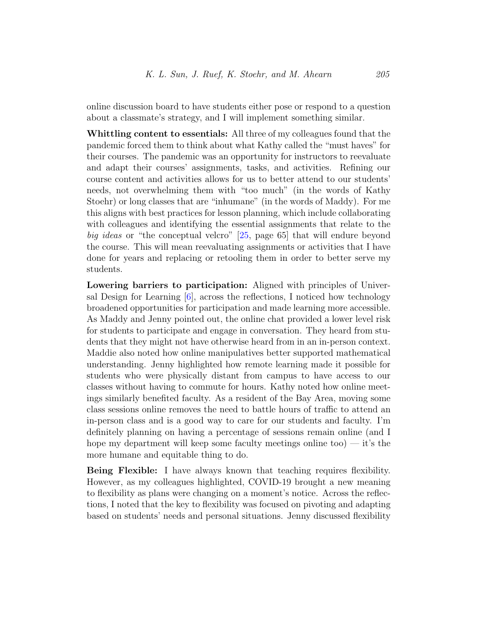online discussion board to have students either pose or respond to a question about a classmate's strategy, and I will implement something similar.

Whittling content to essentials: All three of my colleagues found that the pandemic forced them to think about what Kathy called the "must haves" for their courses. The pandemic was an opportunity for instructors to reevaluate and adapt their courses' assignments, tasks, and activities. Refining our course content and activities allows for us to better attend to our students' needs, not overwhelming them with "too much" (in the words of Kathy Stoehr) or long classes that are "inhumane" (in the words of Maddy). For me this aligns with best practices for lesson planning, which include collaborating with colleagues and identifying the essential assignments that relate to the big ideas or "the conceptual velcro" [\[25,](#page-23-7) page 65] that will endure beyond the course. This will mean reevaluating assignments or activities that I have done for years and replacing or retooling them in order to better serve my students.

Lowering barriers to participation: Aligned with principles of Universal Design for Learning [\[6\]](#page-22-8), across the reflections, I noticed how technology broadened opportunities for participation and made learning more accessible. As Maddy and Jenny pointed out, the online chat provided a lower level risk for students to participate and engage in conversation. They heard from students that they might not have otherwise heard from in an in-person context. Maddie also noted how online manipulatives better supported mathematical understanding. Jenny highlighted how remote learning made it possible for students who were physically distant from campus to have access to our classes without having to commute for hours. Kathy noted how online meetings similarly benefited faculty. As a resident of the Bay Area, moving some class sessions online removes the need to battle hours of traffic to attend an in-person class and is a good way to care for our students and faculty. I'm definitely planning on having a percentage of sessions remain online (and I hope my department will keep some faculty meetings online too) — it's the more humane and equitable thing to do.

Being Flexible: I have always known that teaching requires flexibility. However, as my colleagues highlighted, COVID-19 brought a new meaning to flexibility as plans were changing on a moment's notice. Across the reflections, I noted that the key to flexibility was focused on pivoting and adapting based on students' needs and personal situations. Jenny discussed flexibility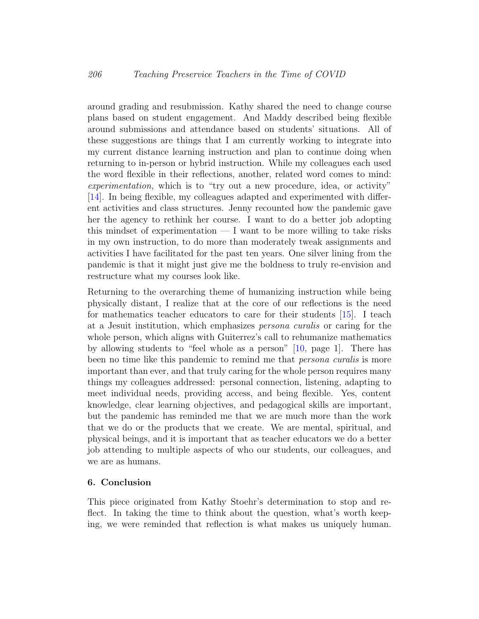around grading and resubmission. Kathy shared the need to change course plans based on student engagement. And Maddy described being flexible around submissions and attendance based on students' situations. All of these suggestions are things that I am currently working to integrate into my current distance learning instruction and plan to continue doing when returning to in-person or hybrid instruction. While my colleagues each used the word flexible in their reflections, another, related word comes to mind: experimentation, which is to "try out a new procedure, idea, or activity" [\[14\]](#page-22-9). In being flexible, my colleagues adapted and experimented with different activities and class structures. Jenny recounted how the pandemic gave her the agency to rethink her course. I want to do a better job adopting this mindset of experimentation  $- I$  want to be more willing to take risks in my own instruction, to do more than moderately tweak assignments and activities I have facilitated for the past ten years. One silver lining from the pandemic is that it might just give me the boldness to truly re-envision and restructure what my courses look like.

Returning to the overarching theme of humanizing instruction while being physically distant, I realize that at the core of our reflections is the need for mathematics teacher educators to care for their students [\[15\]](#page-22-10). I teach at a Jesuit institution, which emphasizes persona curalis or caring for the whole person, which aligns with Guiterrez's call to rehumanize mathematics by allowing students to "feel whole as a person" [\[10,](#page-22-0) page 1]. There has been no time like this pandemic to remind me that *persona curalis* is more important than ever, and that truly caring for the whole person requires many things my colleagues addressed: personal connection, listening, adapting to meet individual needs, providing access, and being flexible. Yes, content knowledge, clear learning objectives, and pedagogical skills are important, but the pandemic has reminded me that we are much more than the work that we do or the products that we create. We are mental, spiritual, and physical beings, and it is important that as teacher educators we do a better job attending to multiple aspects of who our students, our colleagues, and we are as humans.

#### 6. Conclusion

This piece originated from Kathy Stoehr's determination to stop and reflect. In taking the time to think about the question, what's worth keeping, we were reminded that reflection is what makes us uniquely human.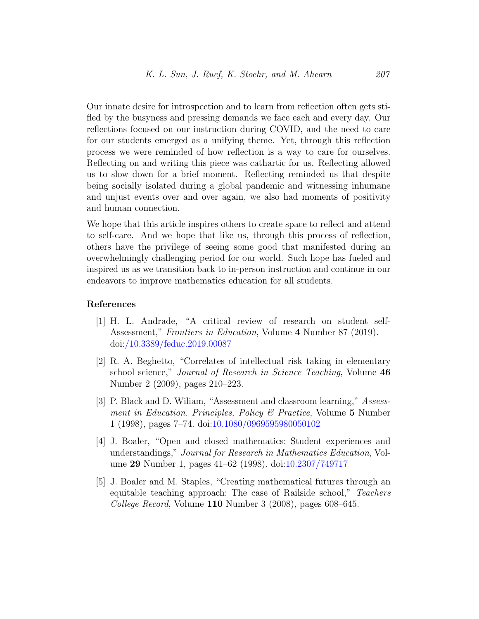Our innate desire for introspection and to learn from reflection often gets stifled by the busyness and pressing demands we face each and every day. Our reflections focused on our instruction during COVID, and the need to care for our students emerged as a unifying theme. Yet, through this reflection process we were reminded of how reflection is a way to care for ourselves. Reflecting on and writing this piece was cathartic for us. Reflecting allowed us to slow down for a brief moment. Reflecting reminded us that despite being socially isolated during a global pandemic and witnessing inhumane and unjust events over and over again, we also had moments of positivity and human connection.

We hope that this article inspires others to create space to reflect and attend to self-care. And we hope that like us, through this process of reflection, others have the privilege of seeing some good that manifested during an overwhelmingly challenging period for our world. Such hope has fueled and inspired us as we transition back to in-person instruction and continue in our endeavors to improve mathematics education for all students.

#### References

- <span id="page-21-4"></span>[1] H. L. Andrade, "A critical review of research on student self-Assessment," Frontiers in Education, Volume 4 Number 87 (2019). doi[:/10.3389/feduc.2019.00087](http://dx.doi.org//10.3389/feduc.2019.00087)
- <span id="page-21-1"></span>[2] R. A. Beghetto, "Correlates of intellectual risk taking in elementary school science," Journal of Research in Science Teaching, Volume 46 Number 2 (2009), pages 210–223.
- <span id="page-21-3"></span>[3] P. Black and D. Wiliam, "Assessment and classroom learning," Assessment in Education. Principles, Policy & Practice, Volume 5 Number 1 (1998), pages 7–74. doi[:10.1080/0969595980050102](http://dx.doi.org/10.1080/0969595980050102)
- <span id="page-21-2"></span>[4] J. Boaler, "Open and closed mathematics: Student experiences and understandings," Journal for Research in Mathematics Education, Volume 29 Number 1, pages 41–62 (1998). doi[:10.2307/749717](http://dx.doi.org/10.2307/749717)
- <span id="page-21-0"></span>[5] J. Boaler and M. Staples, "Creating mathematical futures through an equitable teaching approach: The case of Railside school," Teachers College Record, Volume 110 Number 3 (2008), pages 608–645.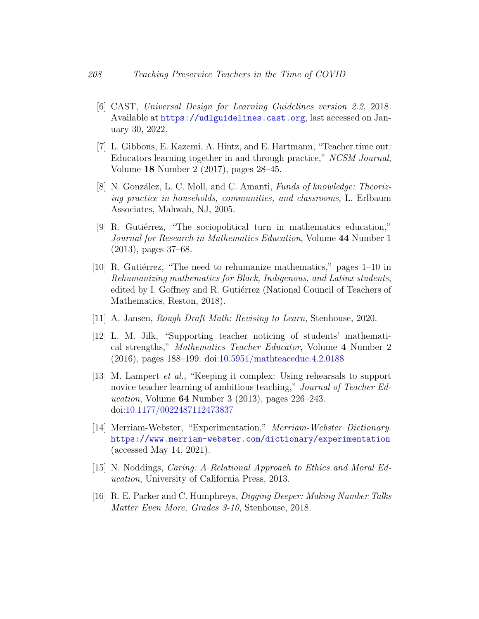- <span id="page-22-8"></span>[6] CAST, Universal Design for Learning Guidelines version 2.2, 2018. Available at <https://udlguidelines.cast.org>, last accessed on January 30, 2022.
- <span id="page-22-7"></span>[7] L. Gibbons, E. Kazemi, A. Hintz, and E. Hartmann, "Teacher time out: Educators learning together in and through practice," NCSM Journal, Volume 18 Number 2 (2017), pages 28–45.
- <span id="page-22-2"></span>[8] N. González, L. C. Moll, and C. Amanti, Funds of knowledge: Theorizing practice in households, communities, and classrooms, L. Erlbaum Associates, Mahwah, NJ, 2005.
- <span id="page-22-4"></span>[9] R. Gutiérrez, "The sociopolitical turn in mathematics education," Journal for Research in Mathematics Education, Volume 44 Number 1 (2013), pages 37–68.
- <span id="page-22-0"></span>[10] R. Gutiérrez, "The need to rehumanize mathematics," pages  $1-10$  in Rehumanizing mathematics for Black, Indigenous, and Latinx students, edited by I. Goffney and R. Gutiérrez (National Council of Teachers of Mathematics, Reston, 2018).
- <span id="page-22-1"></span>[11] A. Jansen, Rough Draft Math: Revising to Learn, Stenhouse, 2020.
- <span id="page-22-3"></span>[12] L. M. Jilk, "Supporting teacher noticing of students' mathematical strengths," Mathematics Teacher Educator, Volume 4 Number 2 (2016), pages 188–199. doi[:10.5951/mathteaceduc.4.2.0188](http://dx.doi.org/10.5951/mathteaceduc.4.2.0188)
- <span id="page-22-6"></span>[13] M. Lampert et al., "Keeping it complex: Using rehearsals to support novice teacher learning of ambitious teaching," Journal of Teacher Education, Volume  $64$  Number 3 (2013), pages  $226-243$ . doi[:10.1177/0022487112473837](http://dx.doi.org/10.1177/0022487112473837)
- <span id="page-22-9"></span>[14] Merriam-Webster, "Experimentation," Merriam-Webster Dictionary. <https://www.merriam-webster.com/dictionary/experimentation> (accessed May 14, 2021).
- <span id="page-22-10"></span>[15] N. Noddings, Caring: A Relational Approach to Ethics and Moral Education, University of California Press, 2013.
- <span id="page-22-5"></span>[16] R. E. Parker and C. Humphreys, Digging Deeper: Making Number Talks Matter Even More, Grades 3-10, Stenhouse, 2018.